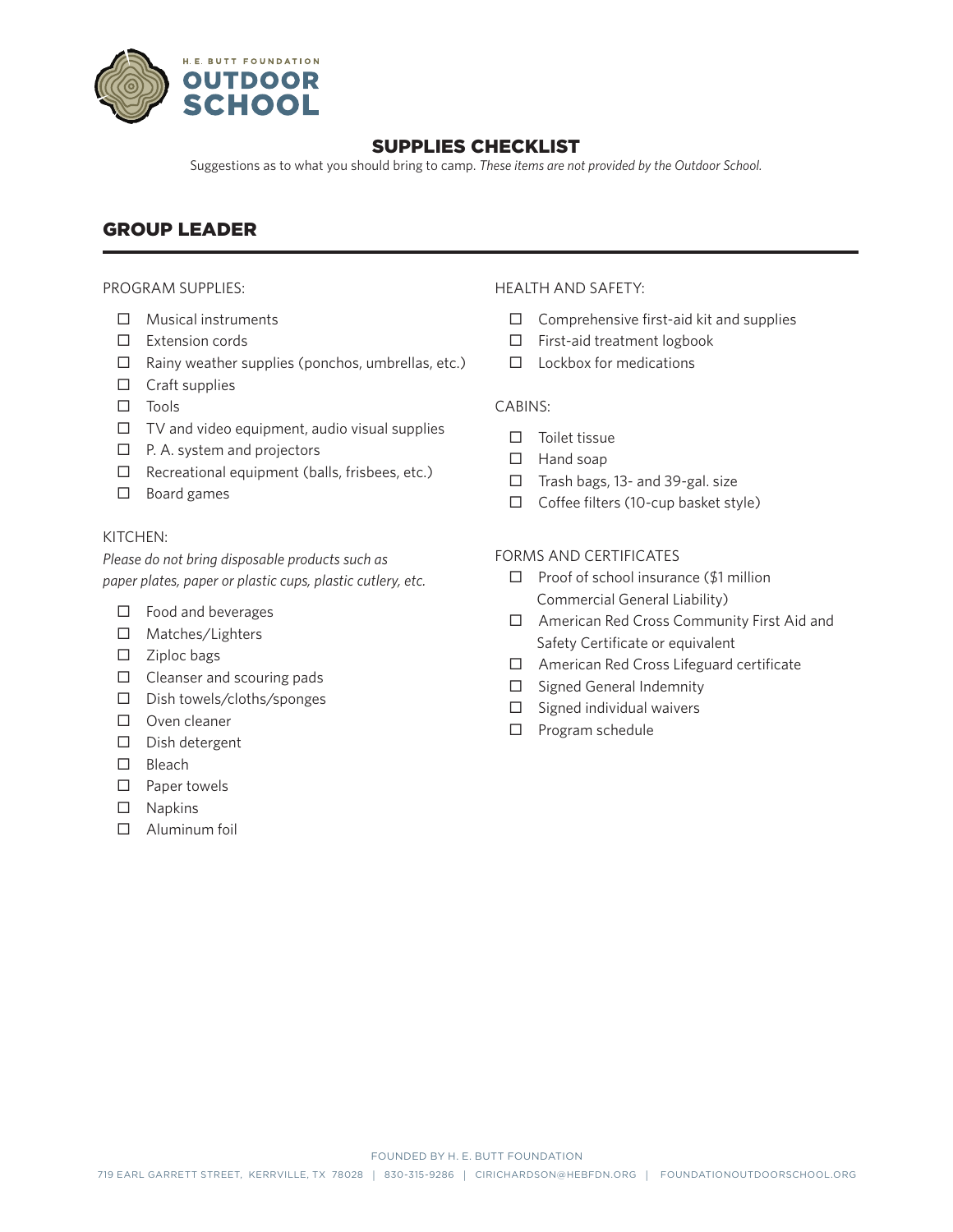

## SUPPLIES CHECKLIST

Suggestions as to what you should bring to camp. *These items are not provided by the Outdoor School.* 

# GROUP LEADER

#### PROGRAM SUPPLIES:

- □ Musical instruments
- $\square$  Extension cords
- $\Box$  Rainy weather supplies (ponchos, umbrellas, etc.)
- $\Box$  Craft supplies
- $\square$  Tools
- $\Box$  TV and video equipment, audio visual supplies
- $\Box$  P. A. system and projectors
- $\Box$  Recreational equipment (balls, frisbees, etc.)
- $\square$  Board games

#### KITCHEN:

*Please do not bring disposable products such as paper plates, paper or plastic cups, plastic cutlery, etc.*

- $\Box$  Food and beverages
- □ Matches/Lighters
- $\square$  Ziploc bags
- $\Box$  Cleanser and scouring pads
- D Dish towels/cloths/sponges
- D Oven cleaner
- $\square$  Dish detergent
- □ Bleach
- $\square$  Paper towels
- $\square$  Napkins
- Aluminum foil

#### HEALTH AND SAFETY:

- $\Box$  Comprehensive first-aid kit and supplies
- $\Box$  First-aid treatment logbook
- $\Box$  Lockbox for medications

#### CABINS:

- $\square$  Toilet tissue
- $\Box$  Hand soap
- $\Box$  Trash bags, 13- and 39-gal. size
- $\Box$  Coffee filters (10-cup basket style)

### FORMS AND CERTIFICATES

- $\Box$  Proof of school insurance (\$1 million Commercial General Liability)
- □ American Red Cross Community First Aid and Safety Certificate or equivalent
- American Red Cross Lifeguard certificate
- $\Box$  Signed General Indemnity
- $\square$  Signed individual waivers
- $\Box$  Program schedule